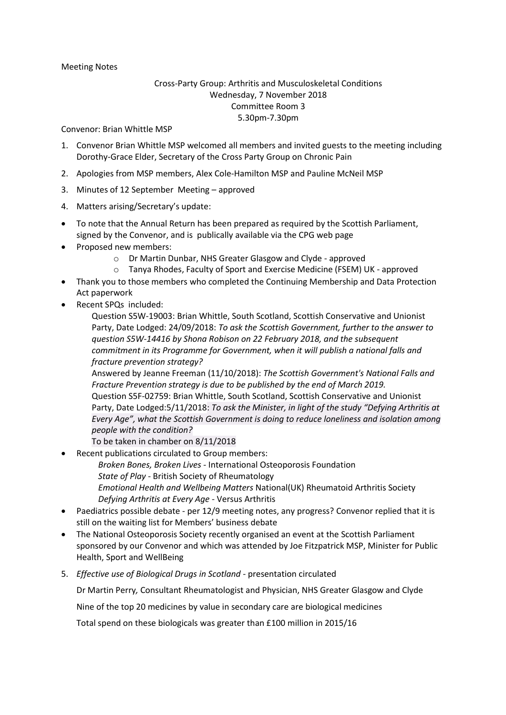Meeting Notes

## Cross-Party Group: Arthritis and Musculoskeletal Conditions Wednesday, 7 November 2018 Committee Room 3 5.30pm-7.30pm

Convenor: Brian Whittle MSP

- 1. Convenor Brian Whittle MSP welcomed all members and invited guests to the meeting including Dorothy-Grace Elder, Secretary of the Cross Party Group on Chronic Pain
- 2. Apologies from MSP members, Alex Cole-Hamilton MSP and Pauline McNeil MSP
- 3. Minutes of 12 September Meeting approved
- 4. Matters arising/Secretary's update:
- To note that the Annual Return has been prepared as required by the Scottish Parliament, signed by the Convenor, and is publically available via the CPG web page
- Proposed new members:
	- o Dr Martin Dunbar, NHS Greater Glasgow and Clyde approved
	- o Tanya Rhodes, Faculty of Sport and Exercise Medicine (FSEM) UK approved
- Thank you to those members who completed the Continuing Membership and Data Protection Act paperwork
- Recent SPQs included:

[Question S5W-19003: Brian Whittle, South Scotland, Scottish Conservative and Unionist](javascript:WebForm_DoPostBackWithOptions(new%20WebForm_PostBackOptions(%22MAQA_Search$gvResults$ctl00$ctl20$lnkIndividualQuestion%22,%20%22%22,%20true,%20%22%22,%20%22%22,%20false,%20true)))  [Party, Date Lodged: 24/09/2018:](javascript:WebForm_DoPostBackWithOptions(new%20WebForm_PostBackOptions(%22MAQA_Search$gvResults$ctl00$ctl20$lnkIndividualQuestion%22,%20%22%22,%20true,%20%22%22,%20%22%22,%20false,%20true))) *To ask the Scottish Government, further to the answer to question S5W-14416 by Shona Robison on 22 February 2018, and the subsequent commitment in its Programme for Government, when it will publish a national falls and fracture prevention strategy?*

Answered by Jeanne Freeman (11/10/2018): *The Scottish Government's National Falls and Fracture Prevention strategy is due to be published by the end of March 2019.* Question S5F-02759: Brian Whittle, South Scotland, Scottish Conservative and Unionist Party, Date Lodged:5/11/2018: *To ask the Minister, in light of the study "Defying Arthritis at Every Age", what the Scottish Government is doing to reduce loneliness and isolation among people with the condition?*

To be taken in chamber on 8/11/2018

- Recent publications circulated to Group members:
	- *Broken Bones, Broken Lives -* International Osteoporosis Foundation *State of Play* - British Society of Rheumatology *Emotional Health and Wellbeing Matters* National(UK) Rheumatoid Arthritis Society *Defying Arthritis at Every Age -* Versus Arthritis
- Paediatrics possible debate per 12/9 meeting notes, any progress? Convenor replied that it is still on the waiting list for Members' business debate
- The National Osteoporosis Society recently organised an event at the Scottish Parliament sponsored by our Convenor and which was attended by Joe Fitzpatrick MSP, Minister for Public Health, Sport and WellBeing
- 5. *Effective use of Biological Drugs in Scotland -* presentation circulated

Dr Martin Perry*,* Consultant Rheumatologist and Physician, NHS Greater Glasgow and Clyde

Nine of the top 20 medicines by value in secondary care are biological medicines

Total spend on these biologicals was greater than £100 million in 2015/16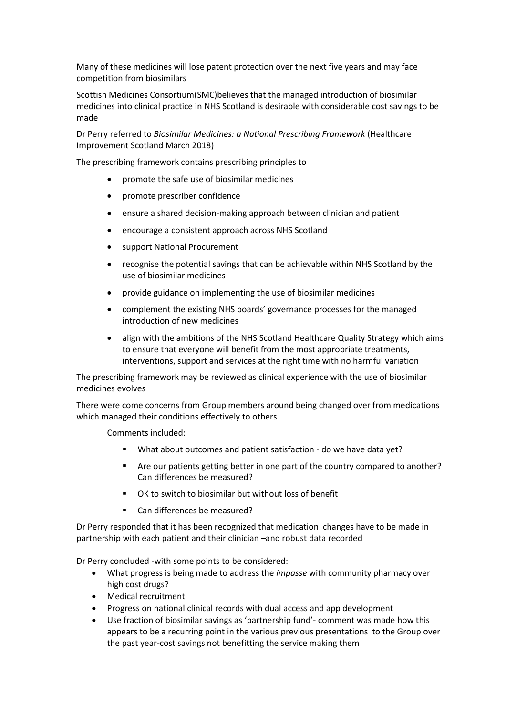Many of these medicines will lose patent protection over the next five years and may face competition from biosimilars

Scottish Medicines Consortium(SMC)believes that the managed introduction of biosimilar medicines into clinical practice in NHS Scotland is desirable with considerable cost savings to be made

Dr Perry referred to *Biosimilar Medicines: a National Prescribing Framework* (Healthcare Improvement Scotland March 2018)

The prescribing framework contains prescribing principles to

- promote the safe use of biosimilar medicines
- promote prescriber confidence
- ensure a shared decision-making approach between clinician and patient
- encourage a consistent approach across NHS Scotland
- support National Procurement
- recognise the potential savings that can be achievable within NHS Scotland by the use of biosimilar medicines
- provide guidance on implementing the use of biosimilar medicines
- complement the existing NHS boards' governance processes for the managed introduction of new medicines
- align with the ambitions of the NHS Scotland Healthcare Quality Strategy which aims to ensure that everyone will benefit from the most appropriate treatments, interventions, support and services at the right time with no harmful variation

The prescribing framework may be reviewed as clinical experience with the use of biosimilar medicines evolves

There were come concerns from Group members around being changed over from medications which managed their conditions effectively to others

Comments included:

- What about outcomes and patient satisfaction do we have data yet?
- Are our patients getting better in one part of the country compared to another? Can differences be measured?
- OK to switch to biosimilar but without loss of benefit
- Can differences be measured?

Dr Perry responded that it has been recognized that medication changes have to be made in partnership with each patient and their clinician –and robust data recorded

Dr Perry concluded -with some points to be considered:

- What progress is being made to address the *impasse* with community pharmacy over high cost drugs?
- Medical recruitment
- Progress on national clinical records with dual access and app development
- Use fraction of biosimilar savings as 'partnership fund'- comment was made how this appears to be a recurring point in the various previous presentations to the Group over the past year-cost savings not benefitting the service making them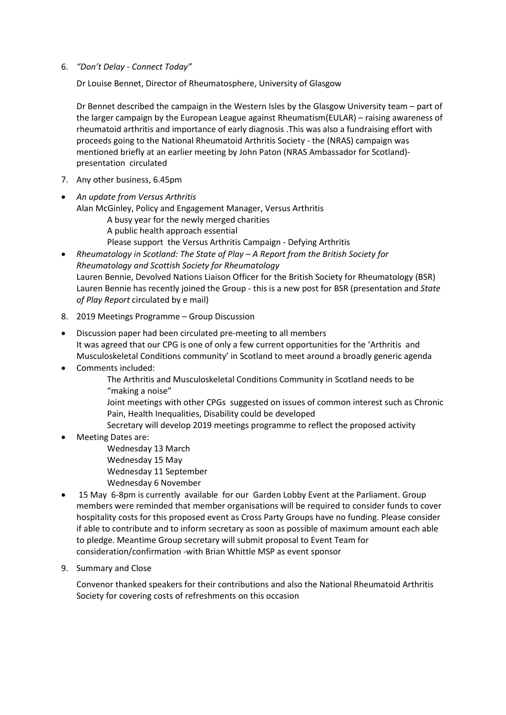6. *"Don't Delay - Connect Today"*

Dr Louise Bennet, Director of Rheumatosphere, University of Glasgow

Dr Bennet described the campaign in the Western Isles by the Glasgow University team – part of the larger campaign by the European League against Rheumatism(EULAR) – raising awareness of rheumatoid arthritis and importance of early diagnosis .This was also a fundraising effort with proceeds going to the National Rheumatoid Arthritis Society - the (NRAS) campaign was mentioned briefly at an earlier meeting by John Paton (NRAS Ambassador for Scotland) presentation circulated

- 7. Any other business, 6.45pm
- *An update from Versus Arthritis* Alan McGinley, Policy and Engagement Manager, Versus Arthritis A busy year for the newly merged charities
	- A public health approach essential
	- Please support the Versus Arthritis Campaign Defying Arthritis
- *Rheumatology in Scotland: The State of Play – A Report from the British Society for Rheumatology and Scottish Society for Rheumatology* Lauren Bennie, Devolved Nations Liaison Officer for the British Society for Rheumatology (BSR) Lauren Bennie has recently joined the Group - this is a new post for BSR (presentation and *State of Play Report* circulated by e mail)
- 8. 2019 Meetings Programme Group Discussion
- Discussion paper had been circulated pre-meeting to all members It was agreed that our CPG is one of only a few current opportunities for the 'Arthritis and Musculoskeletal Conditions community' in Scotland to meet around a broadly generic agenda
- Comments included:
	- The Arthritis and Musculoskeletal Conditions Community in Scotland needs to be "making a noise"
	- Joint meetings with other CPGs suggested on issues of common interest such as Chronic Pain, Health Inequalities, Disability could be developed
	- Secretary will develop 2019 meetings programme to reflect the proposed activity
- Meeting Dates are:
	- Wednesday 13 March
	- Wednesday 15 May
	- Wednesday 11 September
	- Wednesday 6 November
- 15 May 6-8pm is currently available for our Garden Lobby Event at the Parliament. Group members were reminded that member organisations will be required to consider funds to cover hospitality costs for this proposed event as Cross Party Groups have no funding. Please consider if able to contribute and to inform secretary as soon as possible of maximum amount each able to pledge. Meantime Group secretary will submit proposal to Event Team for consideration/confirmation -with Brian Whittle MSP as event sponsor
- 9. Summary and Close

Convenor thanked speakers for their contributions and also the National Rheumatoid Arthritis Society for covering costs of refreshments on this occasion